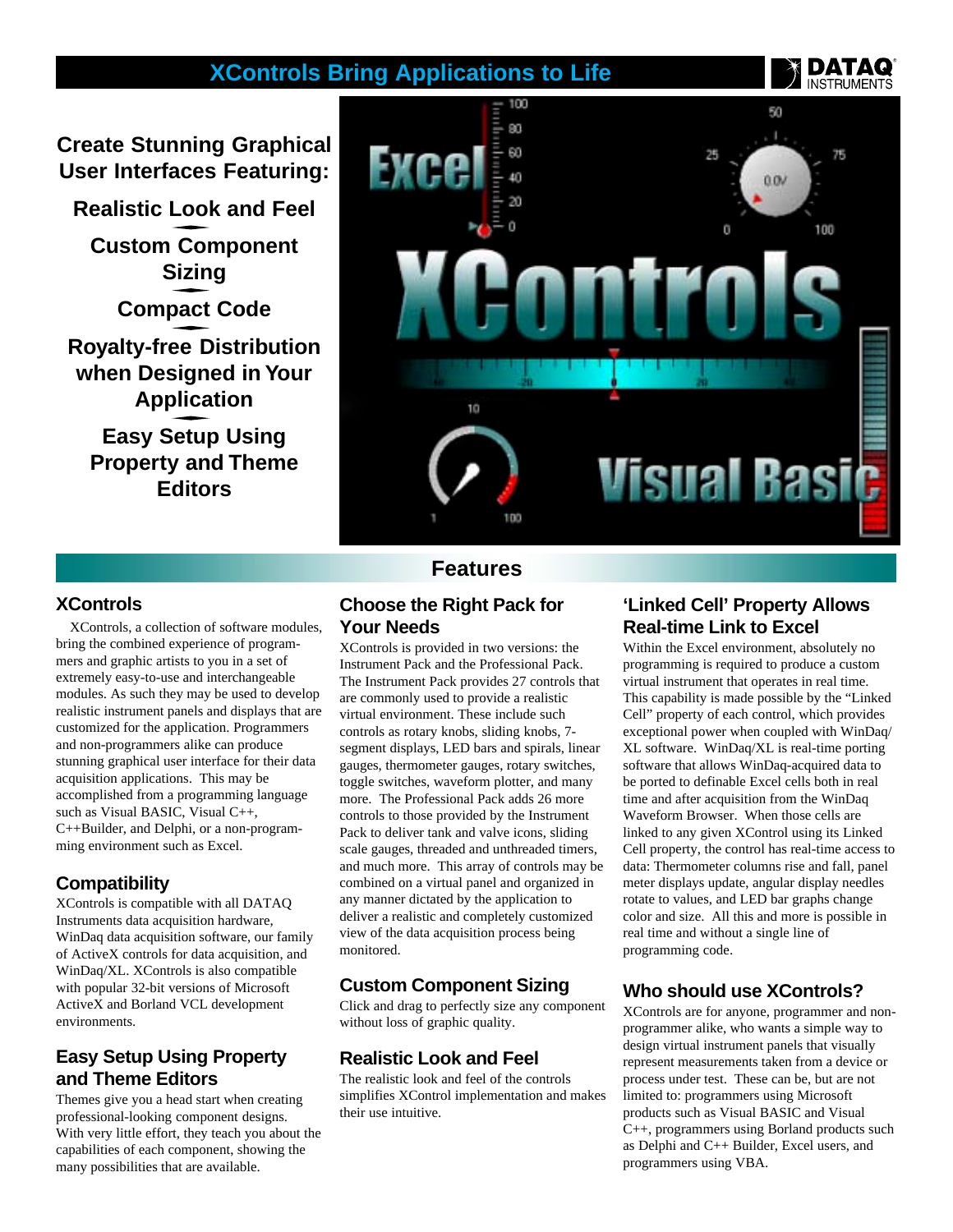### **XControls Bring Applications to Life**

**Create Stunning Graphical User Interfaces Featuring:**

**Realistic Look and Feel Custom Component Sizing Compact Code Royalty-free Distribution when Designed in Your Application Easy Setup Using**

**Property and Theme Editors**



### **Features**

#### **XControls**

XControls, a collection of software modules, bring the combined experience of programmers and graphic artists to you in a set of extremely easy-to-use and interchangeable modules. As such they may be used to develop realistic instrument panels and displays that are customized for the application. Programmers and non-programmers alike can produce stunning graphical user interface for their data acquisition applications. This may be accomplished from a programming language such as Visual BASIC, Visual C++, C++Builder, and Delphi, or a non-programming environment such as Excel.

#### **Compatibility**

XControls is compatible with all DATAQ Instruments data acquisition hardware, WinDaq data acquisition software, our family of ActiveX controls for data acquisition, and WinDaq/XL. XControls is also compatible with popular 32-bit versions of Microsoft ActiveX and Borland VCL development environments.

### **Easy Setup Using Property and Theme Editors**

Themes give you a head start when creating professional-looking component designs. With very little effort, they teach you about the capabilities of each component, showing the many possibilities that are available.

#### **Choose the Right Pack for Your Needs**

XControls is provided in two versions: the Instrument Pack and the Professional Pack. The Instrument Pack provides 27 controls that are commonly used to provide a realistic virtual environment. These include such controls as rotary knobs, sliding knobs, 7 segment displays, LED bars and spirals, linear gauges, thermometer gauges, rotary switches, toggle switches, waveform plotter, and many more. The Professional Pack adds 26 more controls to those provided by the Instrument Pack to deliver tank and valve icons, sliding scale gauges, threaded and unthreaded timers, and much more. This array of controls may be combined on a virtual panel and organized in any manner dictated by the application to deliver a realistic and completely customized view of the data acquisition process being monitored.

### **Custom Component Sizing**

Click and drag to perfectly size any component without loss of graphic quality.

### **Realistic Look and Feel**

The realistic look and feel of the controls simplifies XControl implementation and makes their use intuitive.

### **'Linked Cell' Property Allows Real-time Link to Excel**

**DATAG** 

Within the Excel environment, absolutely no programming is required to produce a custom virtual instrument that operates in real time. This capability is made possible by the "Linked Cell" property of each control, which provides exceptional power when coupled with WinDaq/ XL software. WinDaq/XL is real-time porting software that allows WinDaq-acquired data to be ported to definable Excel cells both in real time and after acquisition from the WinDaq Waveform Browser. When those cells are linked to any given XControl using its Linked Cell property, the control has real-time access to data: Thermometer columns rise and fall, panel meter displays update, angular display needles rotate to values, and LED bar graphs change color and size. All this and more is possible in real time and without a single line of programming code.

### **Who should use XControls?**

XControls are for anyone, programmer and nonprogrammer alike, who wants a simple way to design virtual instrument panels that visually represent measurements taken from a device or process under test. These can be, but are not limited to: programmers using Microsoft products such as Visual BASIC and Visual C++, programmers using Borland products such as Delphi and C++ Builder, Excel users, and programmers using VBA.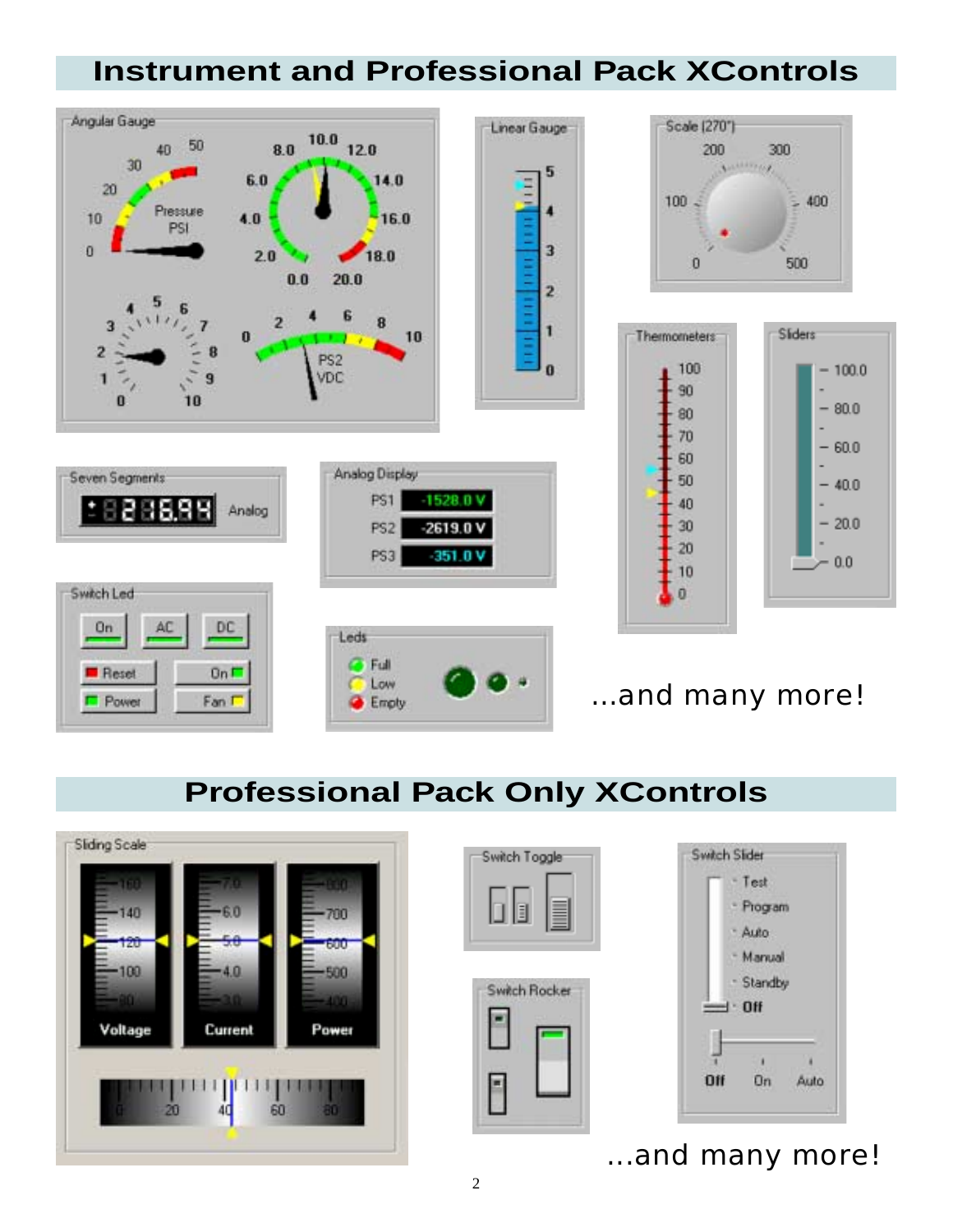## **Instrument and Professional Pack XControls**



## **Professional Pack Only XControls**



...and many more!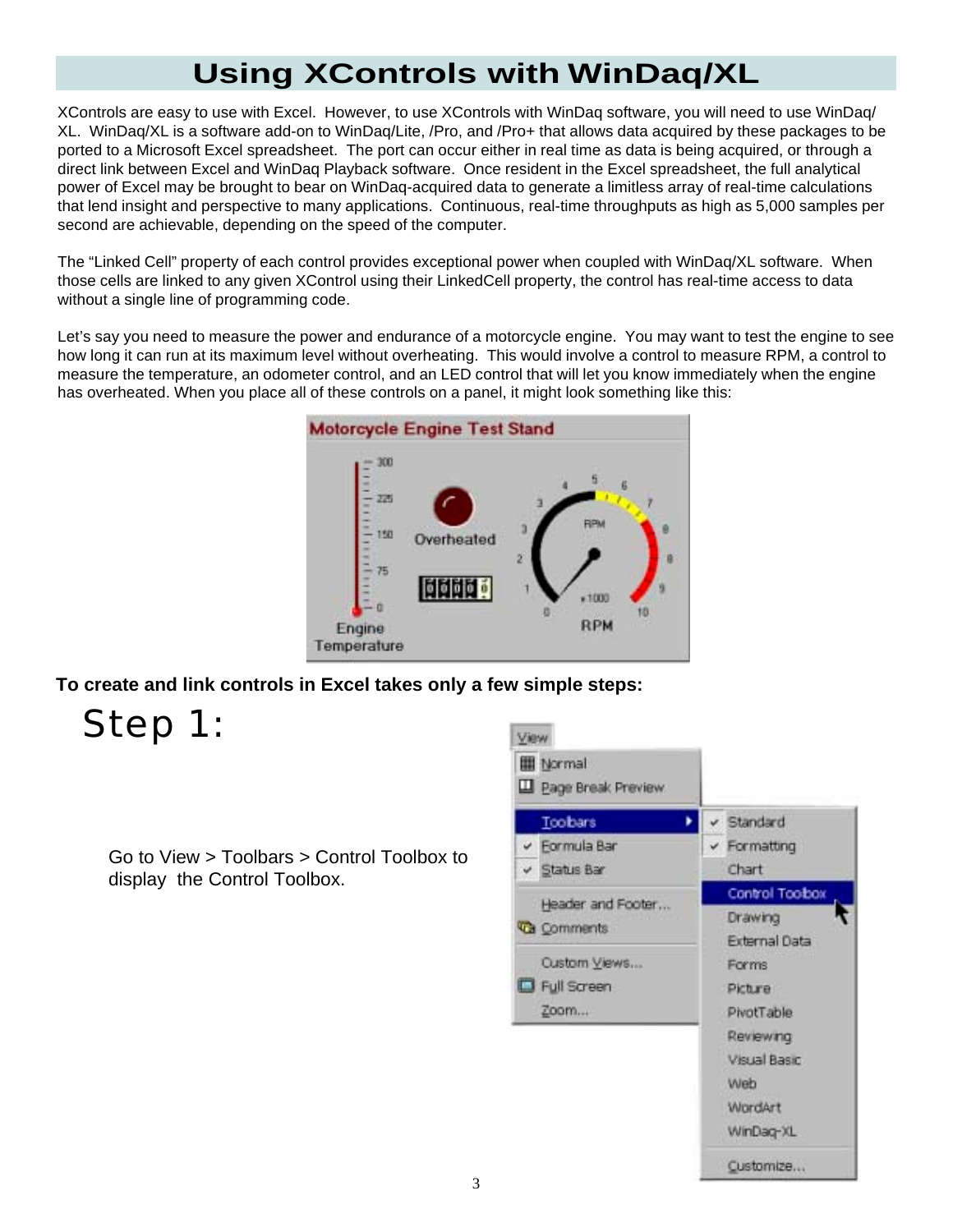## **Using XControls with WinDaq/XL**

XControls are easy to use with Excel. However, to use XControls with WinDaq software, you will need to use WinDaq/ XL. WinDaq/XL is a software add-on to WinDaq/Lite, /Pro, and /Pro+ that allows data acquired by these packages to be ported to a Microsoft Excel spreadsheet. The port can occur either in real time as data is being acquired, or through a direct link between Excel and WinDaq Playback software. Once resident in the Excel spreadsheet, the full analytical power of Excel may be brought to bear on WinDaq-acquired data to generate a limitless array of real-time calculations that lend insight and perspective to many applications. Continuous, real-time throughputs as high as 5,000 samples per second are achievable, depending on the speed of the computer.

The "Linked Cell" property of each control provides exceptional power when coupled with WinDaq/XL software. When those cells are linked to any given XControl using their LinkedCell property, the control has real-time access to data without a single line of programming code.

Let's say you need to measure the power and endurance of a motorcycle engine. You may want to test the engine to see how long it can run at its maximum level without overheating. This would involve a control to measure RPM, a control to measure the temperature, an odometer control, and an LED control that will let you know immediately when the engine has overheated. When you place all of these controls on a panel, it might look something like this:



**To create and link controls in Excel takes only a few simple steps:**

Step 1:

Go to View > Toolbars > Control Toolbox to display the Control Toolbox.

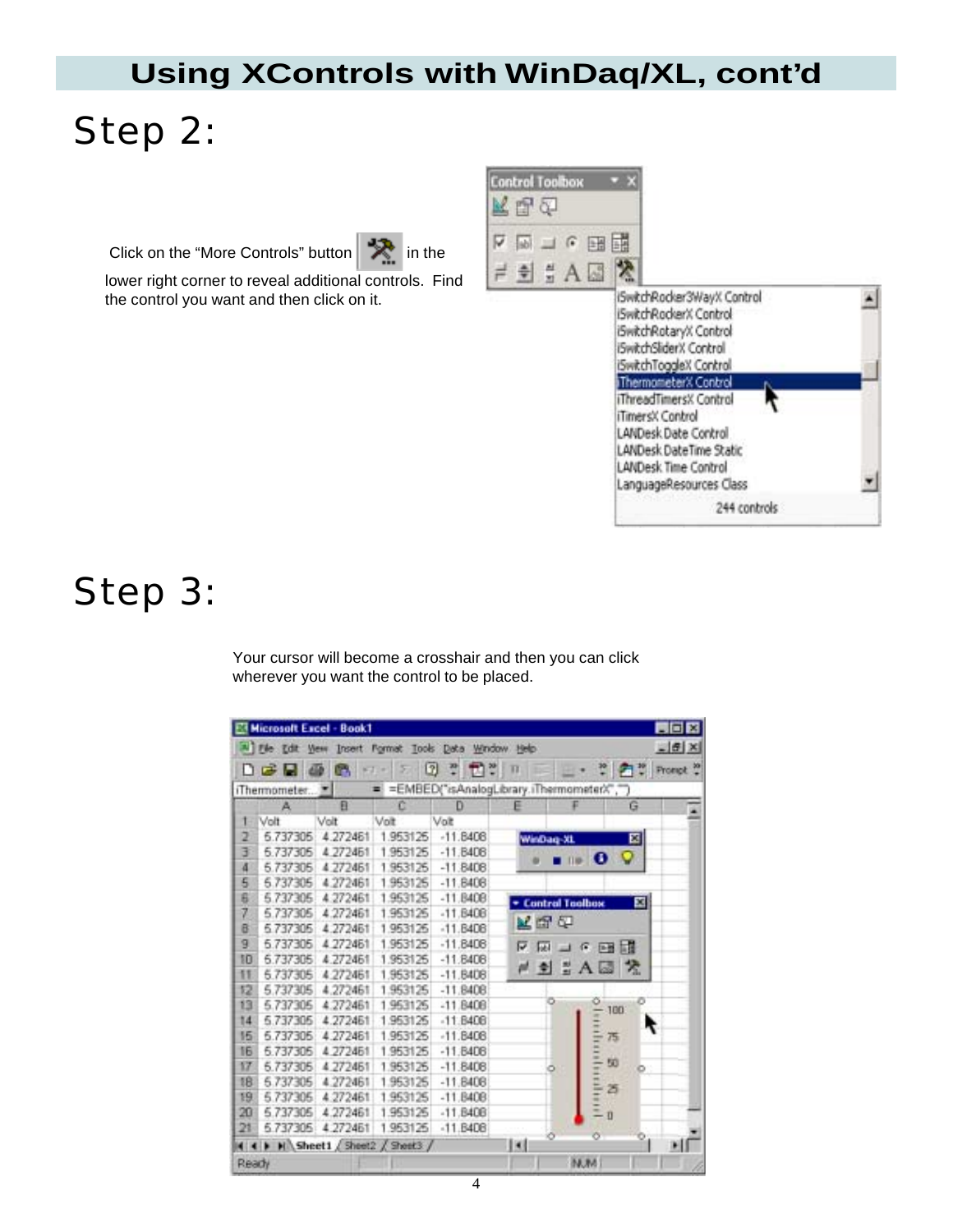## **Using XControls with WinDaq/XL, cont'd**

# Step 2:

Click on the "More Controls" button  $\left|\sum_{n=1}^{\infty} \ln \ln \right|$ 



lower right corner to reveal additional controls. Find the control you want and then click on it.

| <b>Control Toolbox</b> |                                                                                                                                                                          |  |
|------------------------|--------------------------------------------------------------------------------------------------------------------------------------------------------------------------|--|
| 区陆空                    |                                                                                                                                                                          |  |
| K 图 T e 图理             |                                                                                                                                                                          |  |
| # 自 # A 國 然            |                                                                                                                                                                          |  |
|                        | iSwitchRocker3WayX Control<br>iSwitchRockerX Control<br>iSwitchRotaryX Control<br>iSwitchSliderX Control<br>iSwitchToggleX Control                                       |  |
|                        | ThermometerX Control<br>iThreadTimersX Control<br>iTimersX Control<br>LANDesk Date Control<br>LANDesk DateTime Static<br>LANDesk Time Control<br>LanguageResources Class |  |
|                        | 244 controls                                                                                                                                                             |  |
|                        |                                                                                                                                                                          |  |

## Step 3:

Your cursor will become a crosshair and then you can click wherever you want the control to be placed.

|         |                    | <b>Microsoft Excel - Book1</b> |                              |                                                      |                |           |                             |   | FIER                     |
|---------|--------------------|--------------------------------|------------------------------|------------------------------------------------------|----------------|-----------|-----------------------------|---|--------------------------|
|         |                    |                                |                              | a File Edit Vew Insert Formst Tools Data Window Help |                |           |                             |   | $-16 \times$             |
|         | <b>DGGG</b>        | G                              | $9 - 3 = 0$<br>$\mathcal{F}$ | 司<br>13<br>켂                                         | W              |           |                             |   | <sup>20</sup> 2 Prompt ? |
|         |                    |                                |                              | = = EMBED("isAnalogLibrary.iThermometerX",")         |                |           |                             |   |                          |
|         | iThermometer.<br>A | B                              | c                            | D                                                    | Ε              |           |                             | G |                          |
|         | Volt               | Volt                           | Volt                         | Volt                                                 |                |           |                             |   |                          |
|         |                    |                                |                              |                                                      |                |           |                             |   |                          |
| 2       | 5.737305           | 4.272461                       | 1.953125                     | $-11.8408$                                           |                | WinDag-XL |                             | 回 |                          |
| Э       | 5.737305           | 4 27 24 51                     | 1.953125                     | $-11.8408$                                           |                |           | $\mathbb{R}$ 0 $\mathbb{Q}$ |   |                          |
| 4       | 5.737305           | 4 272461                       | 1.953126                     | $-11.8408$                                           |                |           |                             |   |                          |
| 5       | 5.737305           | 4.272461                       | 1.953125                     | $-11.8408$                                           |                |           |                             |   |                          |
| 6       | 5.737305           | 4 272461                       | 1.953125                     | $-11.8408$                                           |                |           | <b>* Control Toolbox</b>    | ⊡ |                          |
| 7       | 5.737305           | 4.272461                       | 1.953125                     | $-11.8408$                                           |                | 可见了       |                             |   |                          |
| õ       | 5.737305           | 4.272461                       | 1.953125                     | $-11.8408$                                           |                |           |                             |   |                          |
| 9.      | 5.737305           | 4 272451                       | 1.953125                     | $-11.8408$                                           | <b>IV Fatt</b> |           | コの田間                        |   |                          |
| 10      | 6.737305           | 4.272461                       | 1.953125                     | $-11.8408$                                           |                |           |                             |   |                          |
| Ħ       | 5737305            | 4 272461                       | 1.953125                     | $-11, B408$                                          |                |           | / 到 # A 國 梵                 |   |                          |
| 12      | 5.737305           | 4.272461                       | 1.953125                     | $-11.8408$                                           |                |           |                             |   |                          |
| 13      | 5.737305           | 4.272461                       | 1.963125                     | $-11.8408$                                           |                | ō         | õ<br>100                    |   |                          |
| 14      | 5.737305           | 4.272461                       | 1.963125                     | $-11.8406$                                           |                |           |                             |   |                          |
| 15      | 5.737305           | 4.272461                       | 1.953125                     | $-11.8408$                                           |                |           | 75                          |   | ۴                        |
| 16      | 5.737305           | 4 27 24 51                     | 1.953125                     | $-11.8408$                                           |                |           |                             |   |                          |
| 17      | 5.737305           | 4 272461                       | 1.953125                     | $-11.8408$                                           |                | o         | 50                          |   |                          |
| 18      | 5.737305           | 4.272461                       | 1.953125                     | $-11.8408$                                           |                |           |                             |   |                          |
| 19      | 5.737305           | 4.272461                       | 1.953125                     | $-11.8408$                                           |                |           | Ë<br>笘                      |   |                          |
| $_{20}$ | 5.737305           | 4.272461                       | 1.953125                     | $-11.8408$                                           |                |           | ÷<br>$-10$                  |   |                          |
| 21      | 5.737305           | 4 27 24 51                     | 1.953125                     | $-11.8408$                                           |                |           |                             |   |                          |
| K K     |                    | H Sheet1 / Sheet2 / Sheet3 /   |                              |                                                      | Hю             | ö         | ö                           |   |                          |
|         |                    |                                |                              |                                                      |                |           |                             |   |                          |
| Ready   |                    |                                |                              |                                                      |                |           | M.M                         |   |                          |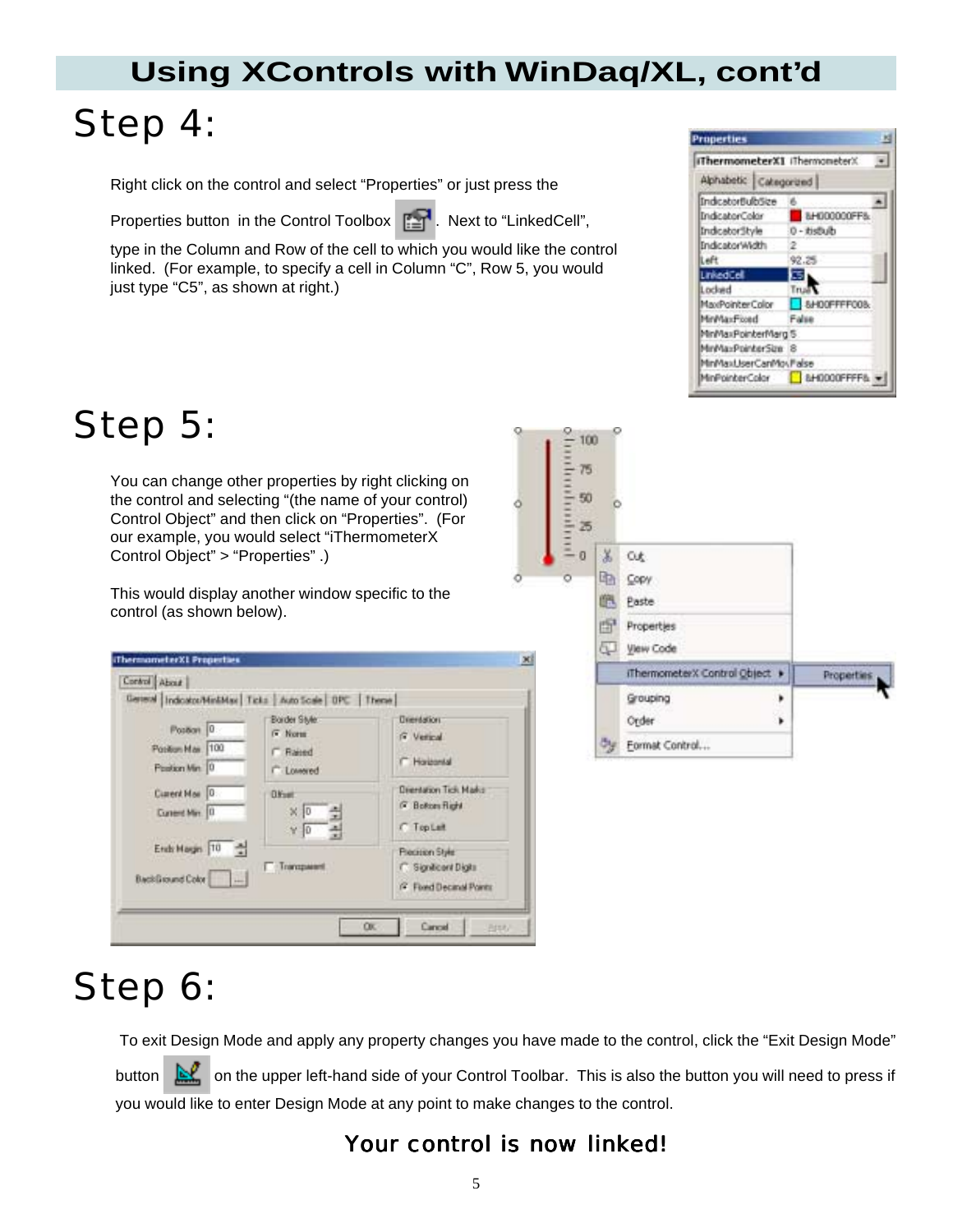## **Using XControls with WinDaq/XL, cont'd**

# Step 4:

Right click on the control and select "Properties" or just press the

Properties button in the Control Toolbox **Papel**. Next to "LinkedCell",

100

type in the Column and Row of the cell to which you would like the control linked. (For example, to specify a cell in Column "C", Row 5, you would just type "C5", as shown at right.)



# Step 5:

You can change other properties by right clicking on the control and selecting "(the name of your control) Control Object" and then click on "Properties". (For our example, you would select "iThermometerX Control Object" > "Properties" .)

This would display another window specific to the control (as shown below).

|                         | <b>Border Style:</b>         | <b>Unerdation</b>             |  |
|-------------------------|------------------------------|-------------------------------|--|
| Poston 0                | G Norm                       | G. Venical                    |  |
| Position May 100        | F Raised                     | <b>C</b> Harborial            |  |
| Position Min. 0         | <b>C</b> Lowered             |                               |  |
| Camera Mon 0            | <b>OKuet</b>                 | Drentston Tick Make           |  |
| Current May 10          | $\times 10$                  | <b><i>G. Bolton Right</i></b> |  |
|                         | 긬<br>V <sub>0</sub>          | <b>C</b> TopLat               |  |
| End: Magin 10           | 걸                            | <b>Flechtion Style</b>        |  |
|                         | <b>C. Significent Digits</b> |                               |  |
| <b>BackGround Color</b> | $-1$                         | <b>G</b> Flord Decard Points  |  |



# Step 6:

 To exit Design Mode and apply any property changes you have made to the control, click the "Exit Design Mode" button **on** the upper left-hand side of your Control Toolbar. This is also the button you will need to press if you would like to enter Design Mode at any point to make changes to the control.

### Your control is now linked!